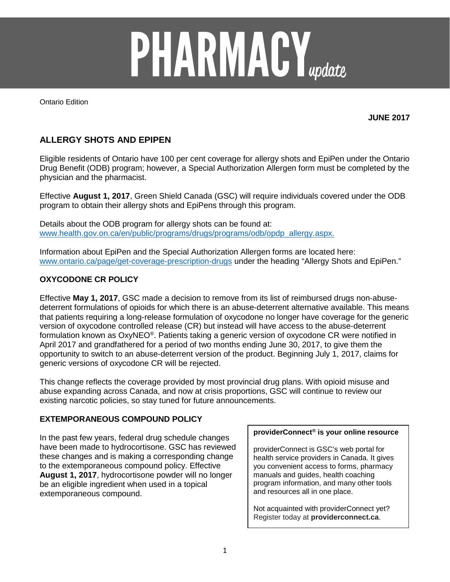

Ontario Edition

**JUNE 2017**

# **ALLERGY SHOTS AND EPIPEN**

Eligible residents of Ontario have 100 per cent coverage for allergy shots and EpiPen under the Ontario Drug Benefit (ODB) program; however, a Special Authorization Allergen form must be completed by the physician and the pharmacist.

Effective **August 1, 2017**, Green Shield Canada (GSC) will require individuals covered under the ODB program to obtain their allergy shots and EpiPens through this program.

Details about the ODB program for allergy shots can be found at: [www.health.gov.on.ca/en/public/programs/drugs/programs/odb/opdp\\_allergy.aspx.](http://www.health.gov.on.ca/en/public/programs/drugs/programs/odb/opdp_allergy.aspx)

Information about EpiPen and the Special Authorization Allergen forms are located here: [www.ontario.ca/page/get-coverage-prescription-drugs](http://www.ontario.ca/page/get-coverage-prescription-drugs) under the heading "Allergy Shots and EpiPen."

# **OXYCODONE CR POLICY**

Effective **May 1, 2017**, GSC made a decision to remove from its list of reimbursed drugs non-abusedeterrent formulations of opioids for which there is an abuse-deterrent alternative available. This means that patients requiring a long-release formulation of oxycodone no longer have coverage for the generic version of oxycodone controlled release (CR) but instead will have access to the abuse-deterrent formulation known as OxyNEO®. Patients taking a generic version of oxycodone CR were notified in April 2017 and grandfathered for a period of two months ending June 30, 2017, to give them the opportunity to switch to an abuse-deterrent version of the product. Beginning July 1, 2017, claims for generic versions of oxycodone CR will be rejected.

This change reflects the coverage provided by most provincial drug plans. With opioid misuse and abuse expanding across Canada, and now at crisis proportions, GSC will continue to review our existing narcotic policies, so stay tuned for future announcements.

## **EXTEMPORANEOUS COMPOUND POLICY**

In the past few years, federal drug schedule changes have been made to hydrocortisone. GSC has reviewed these changes and is making a corresponding change to the extemporaneous compound policy. Effective **August 1, 2017**, hydrocortisone powder will no longer be an eligible ingredient when used in a topical extemporaneous compound.

#### **providerConnect® is your online resource**

providerConnect is GSC's web portal for health service providers in Canada. It gives you convenient access to forms, pharmacy manuals and guides, health coaching program information, and many other tools and resources all in one place.

Not acquainted with providerConnect yet? Register today at **providerconnect.ca**.